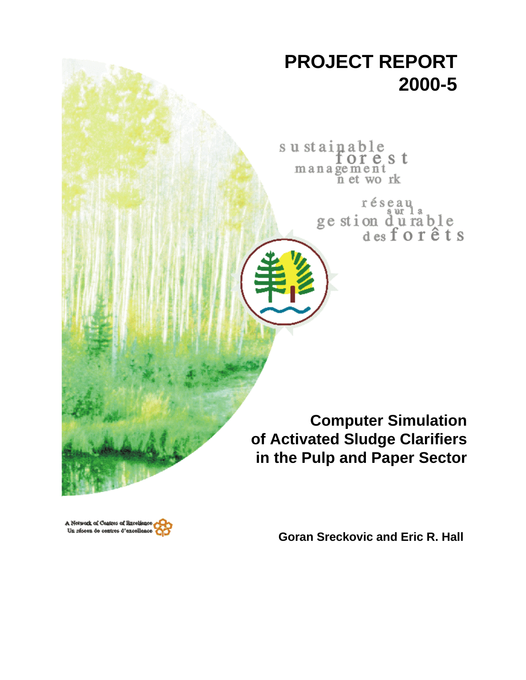# **PROJECT REPORT 2000-5**

sustainable<br>for e management<br>management<br>net work

> réseau ge stion durable<br>desforêts

**Computer Simulation of Activated Sludge Clarifiers in the Pulp and Paper Sector**

A Network of Centres of Bxcels Un réseau de centres d'excelles

**Goran Sreckovic and Eric R. Hall**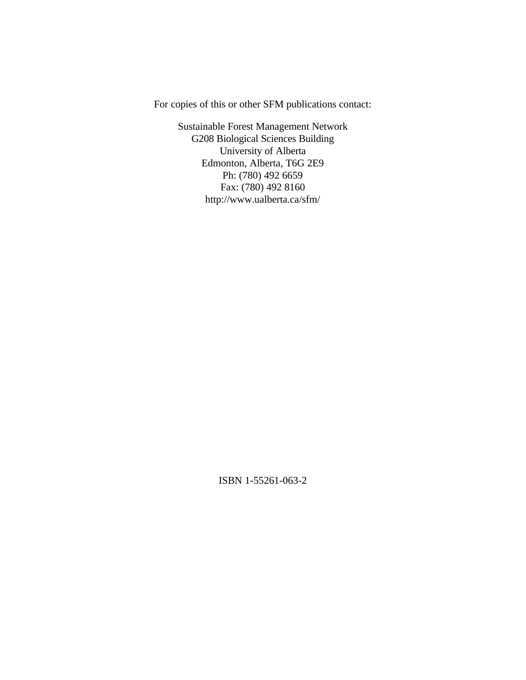For copies of this or other SFM publications contact:

Sustainable Forest Management Network G208 Biological Sciences Building University of Alberta Edmonton, Alberta, T6G 2E9 Ph: (780) 492 6659 Fax: (780) 492 8160 http://www.ualberta.ca/sfm/

ISBN 1-55261-063-2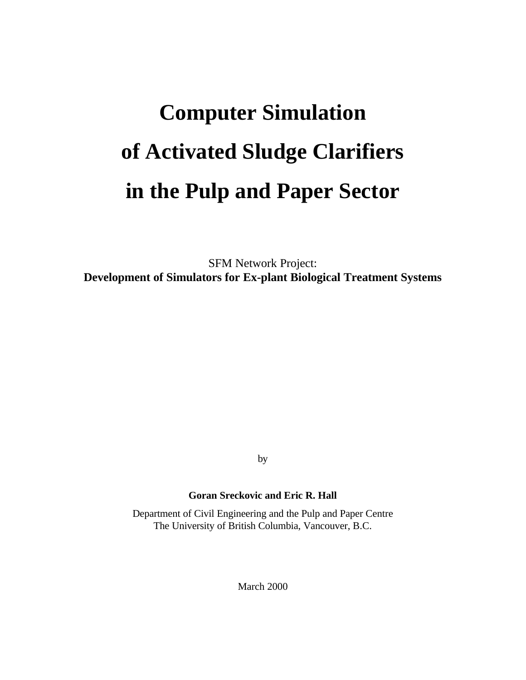# **Computer Simulation of Activated Sludge Clarifiers in the Pulp and Paper Sector**

SFM Network Project: **Development of Simulators for Ex-plant Biological Treatment Systems**

by

# **Goran Sreckovic and Eric R. Hall**

Department of Civil Engineering and the Pulp and Paper Centre The University of British Columbia, Vancouver, B.C.

March 2000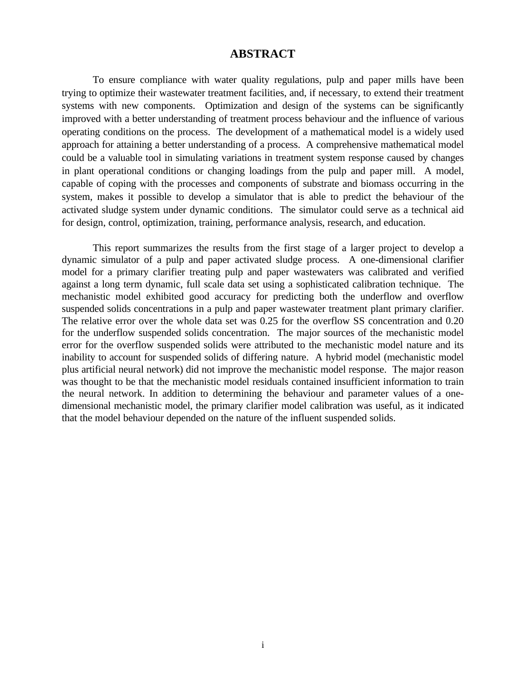# **ABSTRACT**

To ensure compliance with water quality regulations, pulp and paper mills have been trying to optimize their wastewater treatment facilities, and, if necessary, to extend their treatment systems with new components. Optimization and design of the systems can be significantly improved with a better understanding of treatment process behaviour and the influence of various operating conditions on the process. The development of a mathematical model is a widely used approach for attaining a better understanding of a process. A comprehensive mathematical model could be a valuable tool in simulating variations in treatment system response caused by changes in plant operational conditions or changing loadings from the pulp and paper mill. A model, capable of coping with the processes and components of substrate and biomass occurring in the system, makes it possible to develop a simulator that is able to predict the behaviour of the activated sludge system under dynamic conditions. The simulator could serve as a technical aid for design, control, optimization, training, performance analysis, research, and education.

This report summarizes the results from the first stage of a larger project to develop a dynamic simulator of a pulp and paper activated sludge process. A one-dimensional clarifier model for a primary clarifier treating pulp and paper wastewaters was calibrated and verified against a long term dynamic, full scale data set using a sophisticated calibration technique. The mechanistic model exhibited good accuracy for predicting both the underflow and overflow suspended solids concentrations in a pulp and paper wastewater treatment plant primary clarifier. The relative error over the whole data set was 0.25 for the overflow SS concentration and 0.20 for the underflow suspended solids concentration. The major sources of the mechanistic model error for the overflow suspended solids were attributed to the mechanistic model nature and its inability to account for suspended solids of differing nature. A hybrid model (mechanistic model plus artificial neural network) did not improve the mechanistic model response. The major reason was thought to be that the mechanistic model residuals contained insufficient information to train the neural network. In addition to determining the behaviour and parameter values of a onedimensional mechanistic model, the primary clarifier model calibration was useful, as it indicated that the model behaviour depended on the nature of the influent suspended solids.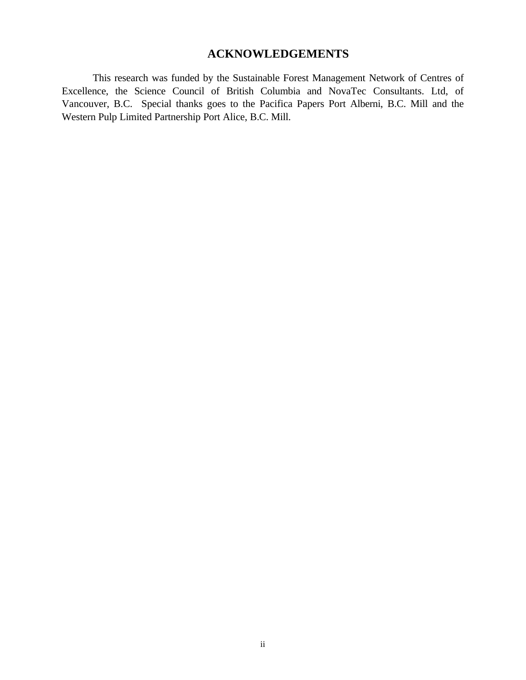# **ACKNOWLEDGEMENTS**

This research was funded by the Sustainable Forest Management Network of Centres of Excellence, the Science Council of British Columbia and NovaTec Consultants. Ltd, of Vancouver, B.C. Special thanks goes to the Pacifica Papers Port Alberni, B.C. Mill and the Western Pulp Limited Partnership Port Alice, B.C. Mill.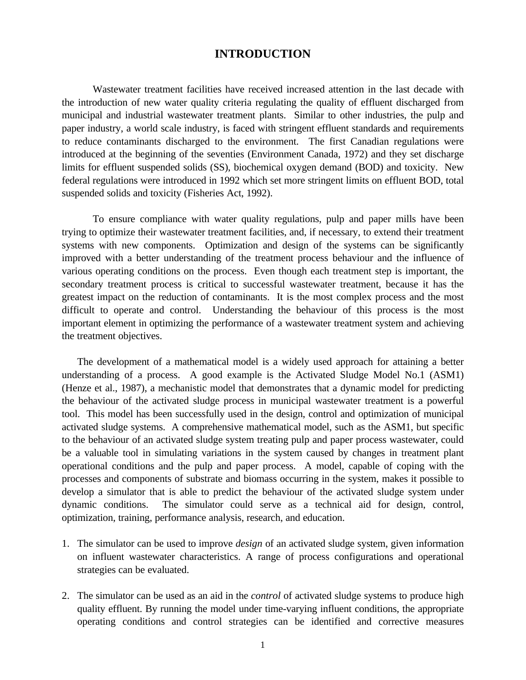# **INTRODUCTION**

Wastewater treatment facilities have received increased attention in the last decade with the introduction of new water quality criteria regulating the quality of effluent discharged from municipal and industrial wastewater treatment plants. Similar to other industries, the pulp and paper industry, a world scale industry, is faced with stringent effluent standards and requirements to reduce contaminants discharged to the environment. The first Canadian regulations were introduced at the beginning of the seventies (Environment Canada, 1972) and they set discharge limits for effluent suspended solids (SS), biochemical oxygen demand (BOD) and toxicity. New federal regulations were introduced in 1992 which set more stringent limits on effluent BOD, total suspended solids and toxicity (Fisheries Act, 1992).

To ensure compliance with water quality regulations, pulp and paper mills have been trying to optimize their wastewater treatment facilities, and, if necessary, to extend their treatment systems with new components. Optimization and design of the systems can be significantly improved with a better understanding of the treatment process behaviour and the influence of various operating conditions on the process. Even though each treatment step is important, the secondary treatment process is critical to successful wastewater treatment, because it has the greatest impact on the reduction of contaminants. It is the most complex process and the most difficult to operate and control. Understanding the behaviour of this process is the most important element in optimizing the performance of a wastewater treatment system and achieving the treatment objectives.

The development of a mathematical model is a widely used approach for attaining a better understanding of a process. A good example is the Activated Sludge Model No.1 (ASM1) (Henze et al., 1987), a mechanistic model that demonstrates that a dynamic model for predicting the behaviour of the activated sludge process in municipal wastewater treatment is a powerful tool. This model has been successfully used in the design, control and optimization of municipal activated sludge systems. A comprehensive mathematical model, such as the ASM1, but specific to the behaviour of an activated sludge system treating pulp and paper process wastewater, could be a valuable tool in simulating variations in the system caused by changes in treatment plant operational conditions and the pulp and paper process. A model, capable of coping with the processes and components of substrate and biomass occurring in the system, makes it possible to develop a simulator that is able to predict the behaviour of the activated sludge system under dynamic conditions. The simulator could serve as a technical aid for design, control, optimization, training, performance analysis, research, and education.

- 1. The simulator can be used to improve *design* of an activated sludge system, given information on influent wastewater characteristics. A range of process configurations and operational strategies can be evaluated.
- 2. The simulator can be used as an aid in the *control* of activated sludge systems to produce high quality effluent. By running the model under time-varying influent conditions, the appropriate operating conditions and control strategies can be identified and corrective measures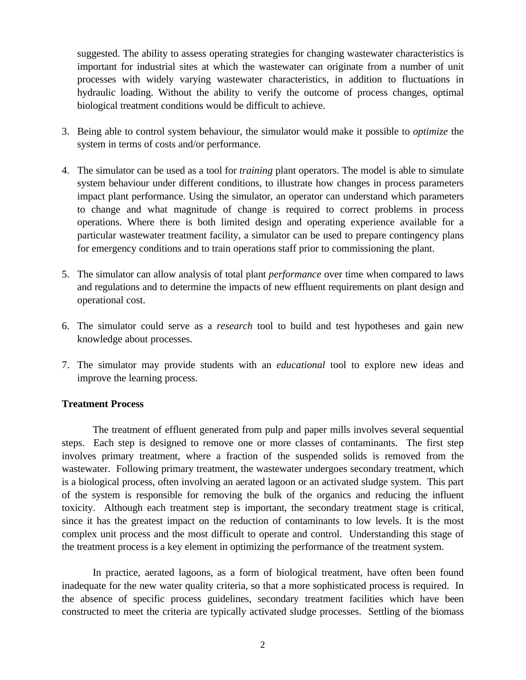suggested. The ability to assess operating strategies for changing wastewater characteristics is important for industrial sites at which the wastewater can originate from a number of unit processes with widely varying wastewater characteristics, in addition to fluctuations in hydraulic loading. Without the ability to verify the outcome of process changes, optimal biological treatment conditions would be difficult to achieve.

- 3. Being able to control system behaviour, the simulator would make it possible to *optimize* the system in terms of costs and/or performance.
- 4. The simulator can be used as a tool for *training* plant operators. The model is able to simulate system behaviour under different conditions, to illustrate how changes in process parameters impact plant performance. Using the simulator, an operator can understand which parameters to change and what magnitude of change is required to correct problems in process operations. Where there is both limited design and operating experience available for a particular wastewater treatment facility, a simulator can be used to prepare contingency plans for emergency conditions and to train operations staff prior to commissioning the plant.
- 5. The simulator can allow analysis of total plant *performance* over time when compared to laws and regulations and to determine the impacts of new effluent requirements on plant design and operational cost.
- 6. The simulator could serve as a *research* tool to build and test hypotheses and gain new knowledge about processes.
- 7. The simulator may provide students with an *educational* tool to explore new ideas and improve the learning process.

# **Treatment Process**

The treatment of effluent generated from pulp and paper mills involves several sequential steps. Each step is designed to remove one or more classes of contaminants. The first step involves primary treatment, where a fraction of the suspended solids is removed from the wastewater. Following primary treatment, the wastewater undergoes secondary treatment, which is a biological process, often involving an aerated lagoon or an activated sludge system. This part of the system is responsible for removing the bulk of the organics and reducing the influent toxicity. Although each treatment step is important, the secondary treatment stage is critical, since it has the greatest impact on the reduction of contaminants to low levels. It is the most complex unit process and the most difficult to operate and control. Understanding this stage of the treatment process is a key element in optimizing the performance of the treatment system.

In practice, aerated lagoons, as a form of biological treatment, have often been found inadequate for the new water quality criteria, so that a more sophisticated process is required. In the absence of specific process guidelines, secondary treatment facilities which have been constructed to meet the criteria are typically activated sludge processes. Settling of the biomass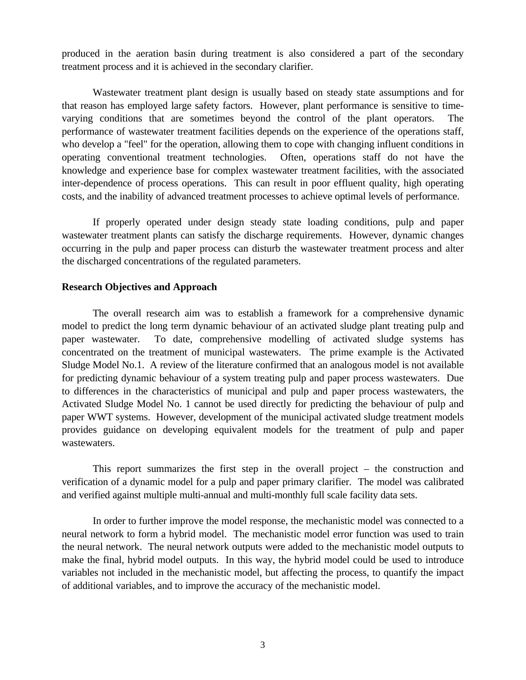produced in the aeration basin during treatment is also considered a part of the secondary treatment process and it is achieved in the secondary clarifier.

Wastewater treatment plant design is usually based on steady state assumptions and for that reason has employed large safety factors. However, plant performance is sensitive to timevarying conditions that are sometimes beyond the control of the plant operators. The performance of wastewater treatment facilities depends on the experience of the operations staff, who develop a "feel" for the operation, allowing them to cope with changing influent conditions in operating conventional treatment technologies. Often, operations staff do not have the knowledge and experience base for complex wastewater treatment facilities, with the associated inter-dependence of process operations. This can result in poor effluent quality, high operating costs, and the inability of advanced treatment processes to achieve optimal levels of performance.

If properly operated under design steady state loading conditions, pulp and paper wastewater treatment plants can satisfy the discharge requirements. However, dynamic changes occurring in the pulp and paper process can disturb the wastewater treatment process and alter the discharged concentrations of the regulated parameters.

#### **Research Objectives and Approach**

The overall research aim was to establish a framework for a comprehensive dynamic model to predict the long term dynamic behaviour of an activated sludge plant treating pulp and paper wastewater. To date, comprehensive modelling of activated sludge systems has concentrated on the treatment of municipal wastewaters. The prime example is the Activated Sludge Model No.1. A review of the literature confirmed that an analogous model is not available for predicting dynamic behaviour of a system treating pulp and paper process wastewaters. Due to differences in the characteristics of municipal and pulp and paper process wastewaters, the Activated Sludge Model No. 1 cannot be used directly for predicting the behaviour of pulp and paper WWT systems. However, development of the municipal activated sludge treatment models provides guidance on developing equivalent models for the treatment of pulp and paper wastewaters.

This report summarizes the first step in the overall project – the construction and verification of a dynamic model for a pulp and paper primary clarifier. The model was calibrated and verified against multiple multi-annual and multi-monthly full scale facility data sets.

In order to further improve the model response, the mechanistic model was connected to a neural network to form a hybrid model. The mechanistic model error function was used to train the neural network. The neural network outputs were added to the mechanistic model outputs to make the final, hybrid model outputs. In this way, the hybrid model could be used to introduce variables not included in the mechanistic model, but affecting the process, to quantify the impact of additional variables, and to improve the accuracy of the mechanistic model.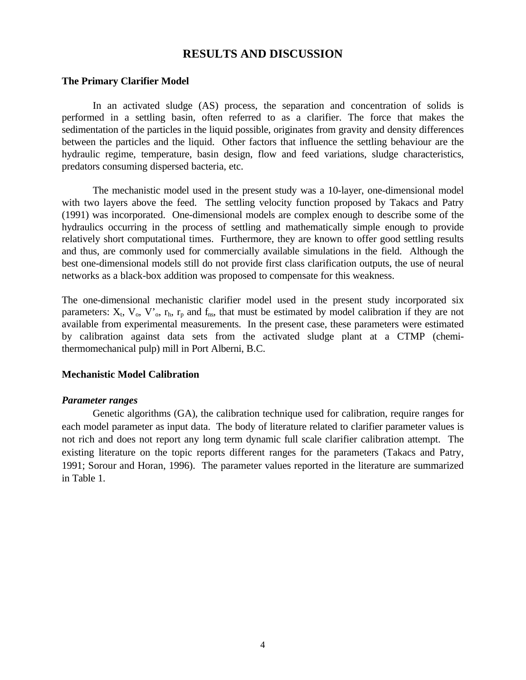# **RESULTS AND DISCUSSION**

#### **The Primary Clarifier Model**

In an activated sludge (AS) process, the separation and concentration of solids is performed in a settling basin, often referred to as a clarifier. The force that makes the sedimentation of the particles in the liquid possible, originates from gravity and density differences between the particles and the liquid. Other factors that influence the settling behaviour are the hydraulic regime, temperature, basin design, flow and feed variations, sludge characteristics, predators consuming dispersed bacteria, etc.

The mechanistic model used in the present study was a 10-layer, one-dimensional model with two layers above the feed. The settling velocity function proposed by Takacs and Patry (1991) was incorporated. One-dimensional models are complex enough to describe some of the hydraulics occurring in the process of settling and mathematically simple enough to provide relatively short computational times. Furthermore, they are known to offer good settling results and thus, are commonly used for commercially available simulations in the field. Although the best one-dimensional models still do not provide first class clarification outputs, the use of neural networks as a black-box addition was proposed to compensate for this weakness.

The one-dimensional mechanistic clarifier model used in the present study incorporated six parameters:  $X_t$ ,  $V_0$ ,  $V_0$ ,  $r_h$ ,  $r_p$  and  $f_{ns}$ , that must be estimated by model calibration if they are not available from experimental measurements. In the present case, these parameters were estimated by calibration against data sets from the activated sludge plant at a CTMP (chemithermomechanical pulp) mill in Port Alberni, B.C.

#### **Mechanistic Model Calibration**

#### *Parameter ranges*

Genetic algorithms (GA), the calibration technique used for calibration, require ranges for each model parameter as input data. The body of literature related to clarifier parameter values is not rich and does not report any long term dynamic full scale clarifier calibration attempt. The existing literature on the topic reports different ranges for the parameters (Takacs and Patry, 1991; Sorour and Horan, 1996). The parameter values reported in the literature are summarized in Table 1.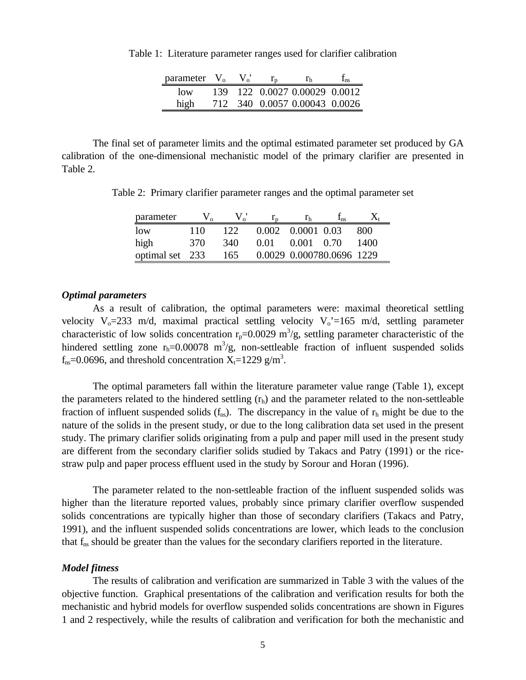| parameter $V_0$ |      | $\mathbf{V}$ |                               | ⊥ոs |
|-----------------|------|--------------|-------------------------------|-----|
| $\log$          | 139. |              | 122 0.0027 0.00029 0.0012     |     |
| high            |      |              | 712 340 0.0057 0.00043 0.0026 |     |

Table 1: Literature parameter ranges used for clarifier calibration

The final set of parameter limits and the optimal estimated parameter set produced by GA calibration of the one-dimensional mechanistic model of the primary clarifier are presented in Table 2.

Table 2: Primary clarifier parameter ranges and the optimal parameter set

| parameter       |     |     |      |                   | $\mathbf{I}_{\text{BS}}$  |      |
|-----------------|-----|-----|------|-------------------|---------------------------|------|
| $\log$          | 110 | 122 |      | 0.002 0.0001 0.03 |                           | 800  |
| high            | 370 | 340 | 0.01 | 0.001 0.70        |                           | 1400 |
| optimal set 233 |     | 165 |      |                   | 0.0029 0.000780.0696 1229 |      |

#### *Optimal parameters*

As a result of calibration, the optimal parameters were: maximal theoretical settling velocity  $V_0$ =233 m/d, maximal practical settling velocity  $V_0$ '=165 m/d, settling parameter characteristic of low solids concentration  $r_p=0.0029 \text{ m}^3/\text{g}$ , settling parameter characteristic of the hindered settling zone  $r_h=0.00078$  m<sup>3</sup>/g, non-settleable fraction of influent suspended solids  $f_{\text{ns}}$ =0.0696, and threshold concentration X<sub>t</sub>=1229 g/m<sup>3</sup>.

The optimal parameters fall within the literature parameter value range (Table 1), except the parameters related to the hindered settling  $(r<sub>h</sub>)$  and the parameter related to the non-settleable fraction of influent suspended solids  $(f_{ns})$ . The discrepancy in the value of  $r<sub>h</sub>$  might be due to the nature of the solids in the present study, or due to the long calibration data set used in the present study. The primary clarifier solids originating from a pulp and paper mill used in the present study are different from the secondary clarifier solids studied by Takacs and Patry (1991) or the ricestraw pulp and paper process effluent used in the study by Sorour and Horan (1996).

The parameter related to the non-settleable fraction of the influent suspended solids was higher than the literature reported values, probably since primary clarifier overflow suspended solids concentrations are typically higher than those of secondary clarifiers (Takacs and Patry, 1991), and the influent suspended solids concentrations are lower, which leads to the conclusion that f<sub>ns</sub> should be greater than the values for the secondary clarifiers reported in the literature.

#### *Model fitness*

The results of calibration and verification are summarized in Table 3 with the values of the objective function. Graphical presentations of the calibration and verification results for both the mechanistic and hybrid models for overflow suspended solids concentrations are shown in Figures 1 and 2 respectively, while the results of calibration and verification for both the mechanistic and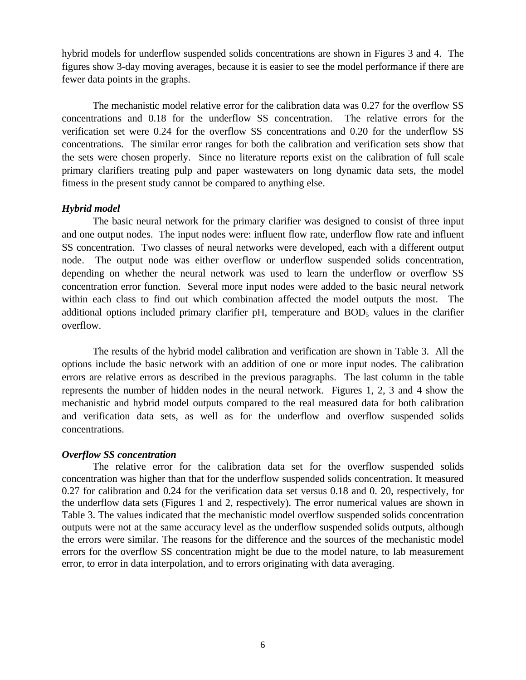hybrid models for underflow suspended solids concentrations are shown in Figures 3 and 4. The figures show 3-day moving averages, because it is easier to see the model performance if there are fewer data points in the graphs.

The mechanistic model relative error for the calibration data was 0.27 for the overflow SS concentrations and 0.18 for the underflow SS concentration. The relative errors for the verification set were 0.24 for the overflow SS concentrations and 0.20 for the underflow SS concentrations. The similar error ranges for both the calibration and verification sets show that the sets were chosen properly. Since no literature reports exist on the calibration of full scale primary clarifiers treating pulp and paper wastewaters on long dynamic data sets, the model fitness in the present study cannot be compared to anything else.

#### *Hybrid model*

The basic neural network for the primary clarifier was designed to consist of three input and one output nodes. The input nodes were: influent flow rate, underflow flow rate and influent SS concentration. Two classes of neural networks were developed, each with a different output node. The output node was either overflow or underflow suspended solids concentration, depending on whether the neural network was used to learn the underflow or overflow SS concentration error function. Several more input nodes were added to the basic neural network within each class to find out which combination affected the model outputs the most. The additional options included primary clarifier pH, temperature and  $BOD<sub>5</sub>$  values in the clarifier overflow.

The results of the hybrid model calibration and verification are shown in Table 3. All the options include the basic network with an addition of one or more input nodes. The calibration errors are relative errors as described in the previous paragraphs. The last column in the table represents the number of hidden nodes in the neural network. Figures 1, 2, 3 and 4 show the mechanistic and hybrid model outputs compared to the real measured data for both calibration and verification data sets, as well as for the underflow and overflow suspended solids concentrations.

#### *Overflow SS concentration*

The relative error for the calibration data set for the overflow suspended solids concentration was higher than that for the underflow suspended solids concentration. It measured 0.27 for calibration and 0.24 for the verification data set versus 0.18 and 0. 20, respectively, for the underflow data sets (Figures 1 and 2, respectively). The error numerical values are shown in Table 3. The values indicated that the mechanistic model overflow suspended solids concentration outputs were not at the same accuracy level as the underflow suspended solids outputs, although the errors were similar. The reasons for the difference and the sources of the mechanistic model errors for the overflow SS concentration might be due to the model nature, to lab measurement error, to error in data interpolation, and to errors originating with data averaging.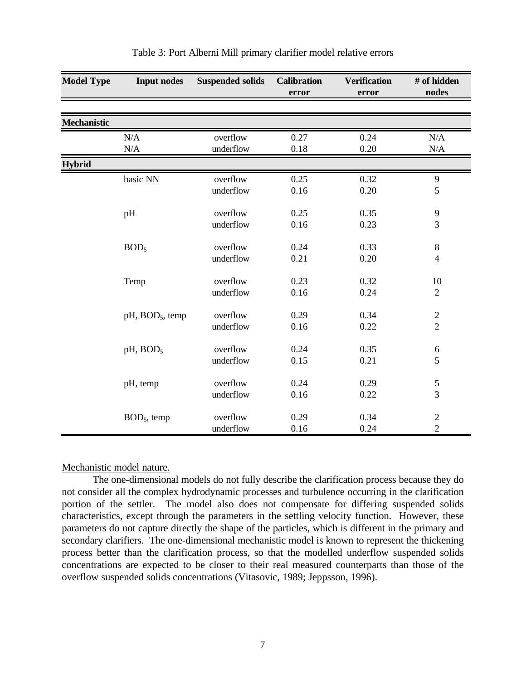| <b>Model Type</b>  | <b>Input nodes</b>          | <b>Suspended solids</b> | <b>Calibration</b><br>error | <b>Verification</b><br>error | # of hidden<br>nodes    |
|--------------------|-----------------------------|-------------------------|-----------------------------|------------------------------|-------------------------|
|                    |                             |                         |                             |                              |                         |
| <b>Mechanistic</b> |                             |                         |                             |                              |                         |
|                    | N/A                         | overflow                | 0.27                        | 0.24                         | N/A                     |
|                    | $\rm N/A$                   | underflow               | 0.18                        | 0.20                         | $\rm N/A$               |
| <b>Hybrid</b>      |                             |                         |                             |                              |                         |
|                    | basic NN                    | overflow                | 0.25                        | 0.32                         | $\mathbf{9}$            |
|                    |                             | underflow               | 0.16                        | 0.20                         | 5                       |
|                    | pH                          | overflow                | 0.25                        | 0.35                         | 9                       |
|                    |                             | underflow               | 0.16                        | 0.23                         | $\overline{3}$          |
|                    | BOD <sub>5</sub>            | overflow                | 0.24                        | 0.33                         | $\,8\,$                 |
|                    |                             | underflow               | 0.21                        | 0.20                         | $\overline{4}$          |
|                    | Temp                        | overflow                | 0.23                        | 0.32                         | 10                      |
|                    |                             | underflow               | 0.16                        | 0.24                         | $\overline{2}$          |
|                    | pH, BOD <sub>5</sub> , temp | overflow                | 0.29                        | 0.34                         | $\sqrt{2}$              |
|                    |                             | underflow               | 0.16                        | 0.22                         | $\overline{2}$          |
|                    | pH, BOD <sub>5</sub>        | overflow                | 0.24                        | 0.35                         | $\sqrt{6}$              |
|                    |                             | underflow               | 0.15                        | 0.21                         | 5                       |
|                    | pH, temp                    | overflow                | 0.24                        | 0.29                         | 5                       |
|                    |                             | underflow               | 0.16                        | 0.22                         | $\overline{3}$          |
|                    | $BOD5$ , temp               | overflow                | 0.29                        | 0.34                         | $\overline{\mathbf{c}}$ |
|                    |                             | underflow               | 0.16                        | 0.24                         | $\overline{2}$          |

#### Table 3: Port Alberni Mill primary clarifier model relative errors

#### Mechanistic model nature.

The one-dimensional models do not fully describe the clarification process because they do not consider all the complex hydrodynamic processes and turbulence occurring in the clarification portion of the settler. The model also does not compensate for differing suspended solids characteristics, except through the parameters in the settling velocity function. However, these parameters do not capture directly the shape of the particles, which is different in the primary and secondary clarifiers. The one-dimensional mechanistic model is known to represent the thickening process better than the clarification process, so that the modelled underflow suspended solids concentrations are expected to be closer to their real measured counterparts than those of the overflow suspended solids concentrations (Vitasovic, 1989; Jeppsson, 1996).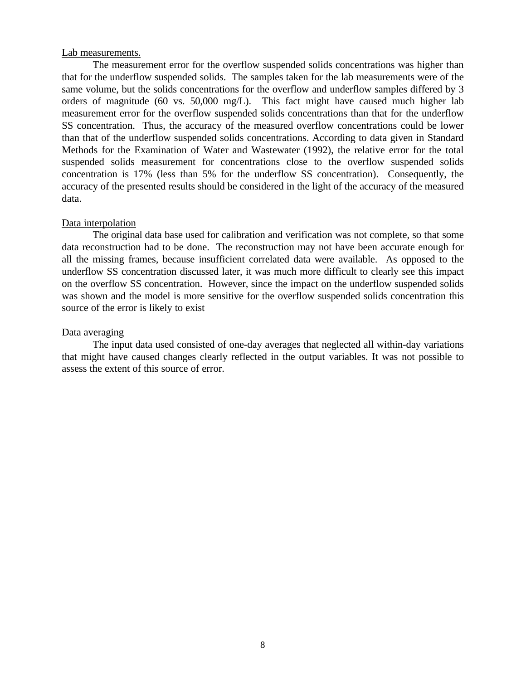#### Lab measurements.

The measurement error for the overflow suspended solids concentrations was higher than that for the underflow suspended solids. The samples taken for the lab measurements were of the same volume, but the solids concentrations for the overflow and underflow samples differed by 3 orders of magnitude (60 vs. 50,000 mg/L). This fact might have caused much higher lab measurement error for the overflow suspended solids concentrations than that for the underflow SS concentration. Thus, the accuracy of the measured overflow concentrations could be lower than that of the underflow suspended solids concentrations. According to data given in Standard Methods for the Examination of Water and Wastewater (1992), the relative error for the total suspended solids measurement for concentrations close to the overflow suspended solids concentration is 17% (less than 5% for the underflow SS concentration). Consequently, the accuracy of the presented results should be considered in the light of the accuracy of the measured data.

#### Data interpolation

The original data base used for calibration and verification was not complete, so that some data reconstruction had to be done. The reconstruction may not have been accurate enough for all the missing frames, because insufficient correlated data were available. As opposed to the underflow SS concentration discussed later, it was much more difficult to clearly see this impact on the overflow SS concentration. However, since the impact on the underflow suspended solids was shown and the model is more sensitive for the overflow suspended solids concentration this source of the error is likely to exist

#### Data averaging

The input data used consisted of one-day averages that neglected all within-day variations that might have caused changes clearly reflected in the output variables. It was not possible to assess the extent of this source of error.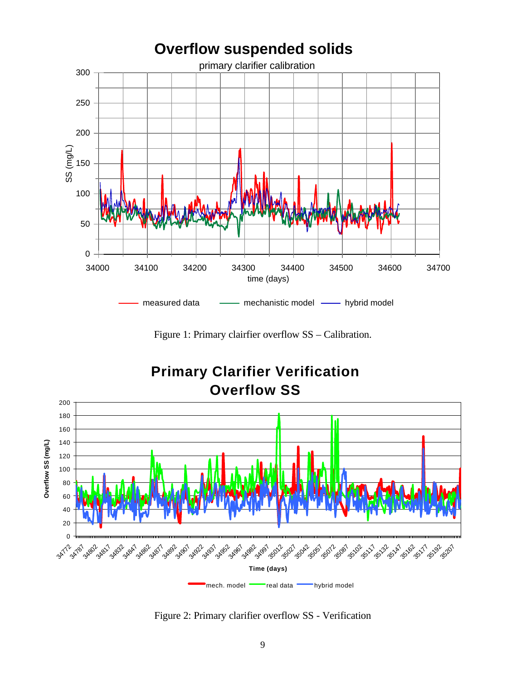

Figure 1: Primary clairfier overflow SS – Calibration.



Figure 2: Primary clarifier overflow SS - Verification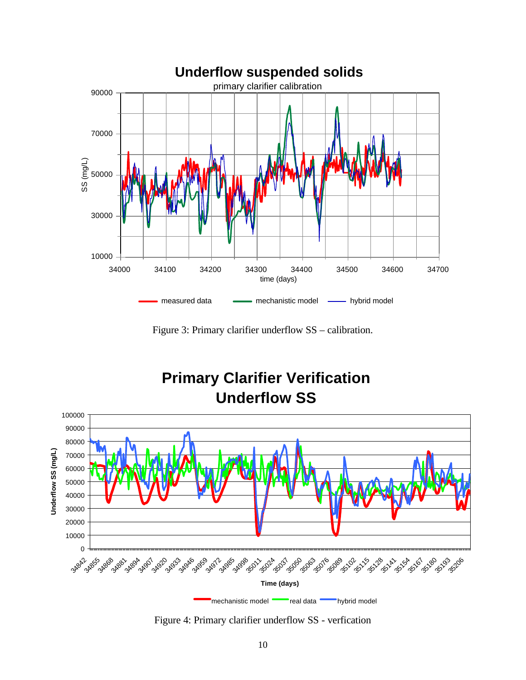

Figure 3: Primary clarifier underflow SS – calibration.



Figure 4: Primary clarifier underflow SS - verfication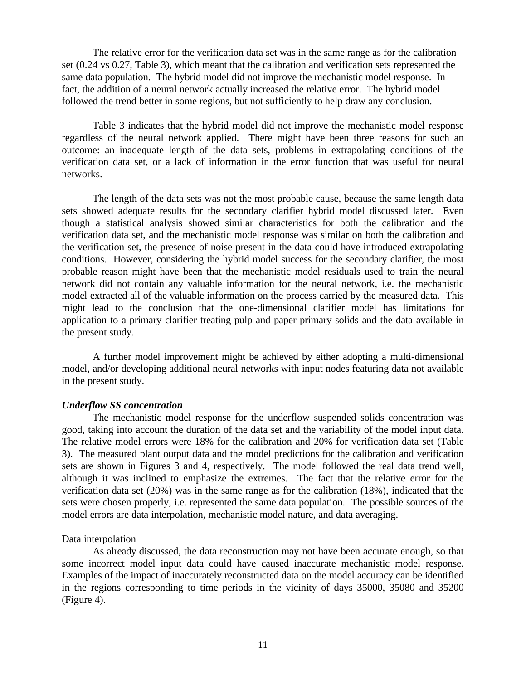The relative error for the verification data set was in the same range as for the calibration set (0.24 vs 0.27, Table 3), which meant that the calibration and verification sets represented the same data population. The hybrid model did not improve the mechanistic model response. In fact, the addition of a neural network actually increased the relative error. The hybrid model followed the trend better in some regions, but not sufficiently to help draw any conclusion.

Table 3 indicates that the hybrid model did not improve the mechanistic model response regardless of the neural network applied. There might have been three reasons for such an outcome: an inadequate length of the data sets, problems in extrapolating conditions of the verification data set, or a lack of information in the error function that was useful for neural networks.

The length of the data sets was not the most probable cause, because the same length data sets showed adequate results for the secondary clarifier hybrid model discussed later. Even though a statistical analysis showed similar characteristics for both the calibration and the verification data set, and the mechanistic model response was similar on both the calibration and the verification set, the presence of noise present in the data could have introduced extrapolating conditions. However, considering the hybrid model success for the secondary clarifier, the most probable reason might have been that the mechanistic model residuals used to train the neural network did not contain any valuable information for the neural network, i.e. the mechanistic model extracted all of the valuable information on the process carried by the measured data. This might lead to the conclusion that the one-dimensional clarifier model has limitations for application to a primary clarifier treating pulp and paper primary solids and the data available in the present study.

A further model improvement might be achieved by either adopting a multi-dimensional model, and/or developing additional neural networks with input nodes featuring data not available in the present study.

#### *Underflow SS concentration*

The mechanistic model response for the underflow suspended solids concentration was good, taking into account the duration of the data set and the variability of the model input data. The relative model errors were 18% for the calibration and 20% for verification data set (Table 3). The measured plant output data and the model predictions for the calibration and verification sets are shown in Figures 3 and 4, respectively. The model followed the real data trend well, although it was inclined to emphasize the extremes. The fact that the relative error for the verification data set (20%) was in the same range as for the calibration (18%), indicated that the sets were chosen properly, i.e. represented the same data population. The possible sources of the model errors are data interpolation, mechanistic model nature, and data averaging.

#### Data interpolation

As already discussed, the data reconstruction may not have been accurate enough, so that some incorrect model input data could have caused inaccurate mechanistic model response. Examples of the impact of inaccurately reconstructed data on the model accuracy can be identified in the regions corresponding to time periods in the vicinity of days 35000, 35080 and 35200 (Figure 4).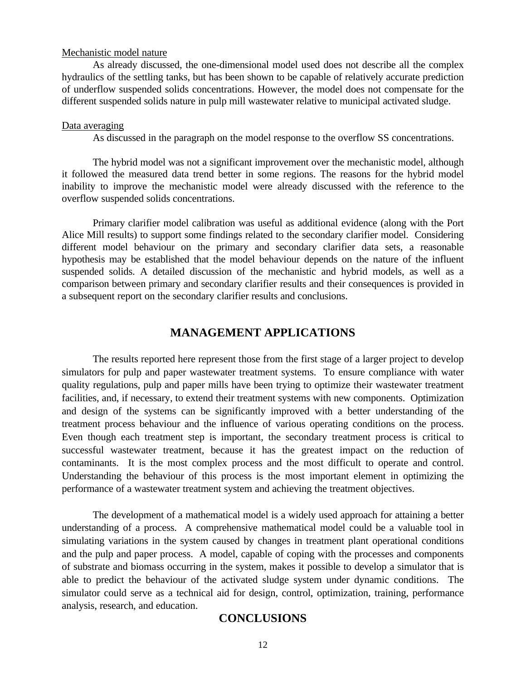#### Mechanistic model nature

As already discussed, the one-dimensional model used does not describe all the complex hydraulics of the settling tanks, but has been shown to be capable of relatively accurate prediction of underflow suspended solids concentrations. However, the model does not compensate for the different suspended solids nature in pulp mill wastewater relative to municipal activated sludge.

#### Data averaging

As discussed in the paragraph on the model response to the overflow SS concentrations.

The hybrid model was not a significant improvement over the mechanistic model, although it followed the measured data trend better in some regions. The reasons for the hybrid model inability to improve the mechanistic model were already discussed with the reference to the overflow suspended solids concentrations.

Primary clarifier model calibration was useful as additional evidence (along with the Port Alice Mill results) to support some findings related to the secondary clarifier model. Considering different model behaviour on the primary and secondary clarifier data sets, a reasonable hypothesis may be established that the model behaviour depends on the nature of the influent suspended solids. A detailed discussion of the mechanistic and hybrid models, as well as a comparison between primary and secondary clarifier results and their consequences is provided in a subsequent report on the secondary clarifier results and conclusions.

# **MANAGEMENT APPLICATIONS**

The results reported here represent those from the first stage of a larger project to develop simulators for pulp and paper wastewater treatment systems. To ensure compliance with water quality regulations, pulp and paper mills have been trying to optimize their wastewater treatment facilities, and, if necessary, to extend their treatment systems with new components. Optimization and design of the systems can be significantly improved with a better understanding of the treatment process behaviour and the influence of various operating conditions on the process. Even though each treatment step is important, the secondary treatment process is critical to successful wastewater treatment, because it has the greatest impact on the reduction of contaminants. It is the most complex process and the most difficult to operate and control. Understanding the behaviour of this process is the most important element in optimizing the performance of a wastewater treatment system and achieving the treatment objectives.

The development of a mathematical model is a widely used approach for attaining a better understanding of a process. A comprehensive mathematical model could be a valuable tool in simulating variations in the system caused by changes in treatment plant operational conditions and the pulp and paper process. A model, capable of coping with the processes and components of substrate and biomass occurring in the system, makes it possible to develop a simulator that is able to predict the behaviour of the activated sludge system under dynamic conditions. The simulator could serve as a technical aid for design, control, optimization, training, performance analysis, research, and education.

# **CONCLUSIONS**